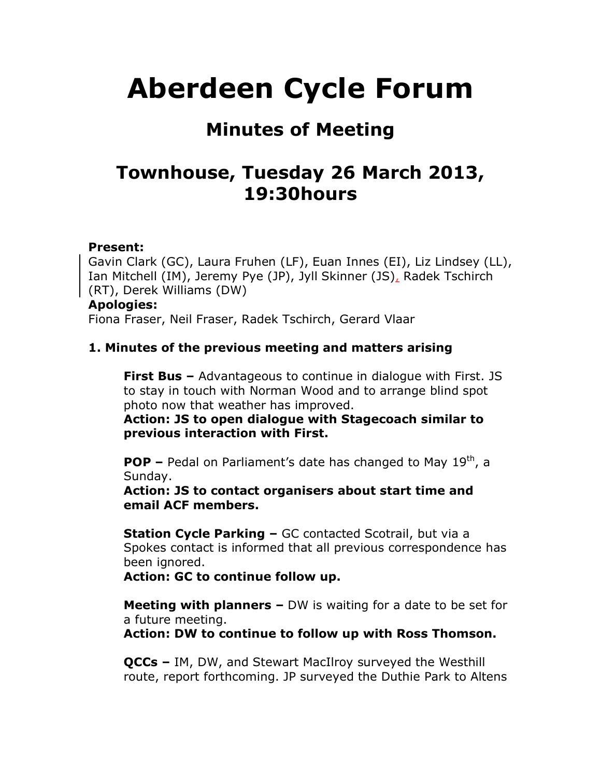# **Aberdeen Cycle Forum**

# **Minutes of Meeting**

# **Townhouse, Tuesday 26 March 2013, 19:30hours**

#### **Present:**

Gavin Clark (GC), Laura Fruhen (LF), Euan Innes (EI), Liz Lindsey (LL), Ian Mitchell (IM), Jeremy Pye (JP), Jyll Skinner (JS), Radek Tschirch (RT), Derek Williams (DW)

#### **Apologies:**

Fiona Fraser, Neil Fraser, Radek Tschirch, Gerard Vlaar

#### **1. Minutes of the previous meeting and matters arising**

**First Bus –** Advantageous to continue in dialogue with First. JS to stay in touch with Norman Wood and to arrange blind spot photo now that weather has improved.

**Action: JS to open dialogue with Stagecoach similar to previous interaction with First.**

**POP –** Pedal on Parliament's date has changed to May 19<sup>th</sup>, a Sunday.

**Action: JS to contact organisers about start time and email ACF members.**

**Station Cycle Parking –** GC contacted Scotrail, but via a Spokes contact is informed that all previous correspondence has been ignored.

**Action: GC to continue follow up.**

**Meeting with planners –** DW is waiting for a date to be set for a future meeting.

**Action: DW to continue to follow up with Ross Thomson.**

**QCCs –** IM, DW, and Stewart MacIlroy surveyed the Westhill route, report forthcoming. JP surveyed the Duthie Park to Altens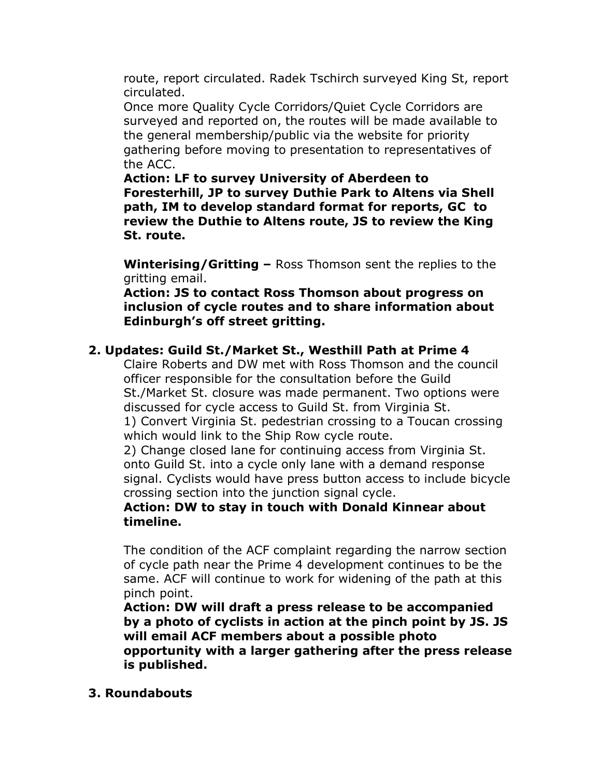route, report circulated. Radek Tschirch surveyed King St, report circulated.

Once more Quality Cycle Corridors/Quiet Cycle Corridors are surveyed and reported on, the routes will be made available to the general membership/public via the website for priority gathering before moving to presentation to representatives of the ACC.

**Action: LF to survey University of Aberdeen to Foresterhill, JP to survey Duthie Park to Altens via Shell path, IM to develop standard format for reports, GC to review the Duthie to Altens route, JS to review the King St. route.**

**Winterising/Gritting –** Ross Thomson sent the replies to the gritting email.

**Action: JS to contact Ross Thomson about progress on inclusion of cycle routes and to share information about Edinburgh's off street gritting.**

## **2. Updates: Guild St./Market St., Westhill Path at Prime 4**

Claire Roberts and DW met with Ross Thomson and the council officer responsible for the consultation before the Guild St./Market St. closure was made permanent. Two options were discussed for cycle access to Guild St. from Virginia St.

1) Convert Virginia St. pedestrian crossing to a Toucan crossing which would link to the Ship Row cycle route.

2) Change closed lane for continuing access from Virginia St. onto Guild St. into a cycle only lane with a demand response signal. Cyclists would have press button access to include bicycle crossing section into the junction signal cycle.

#### **Action: DW to stay in touch with Donald Kinnear about timeline.**

The condition of the ACF complaint regarding the narrow section of cycle path near the Prime 4 development continues to be the same. ACF will continue to work for widening of the path at this pinch point.

**Action: DW will draft a press release to be accompanied by a photo of cyclists in action at the pinch point by JS. JS will email ACF members about a possible photo opportunity with a larger gathering after the press release is published.**

**3. Roundabouts**